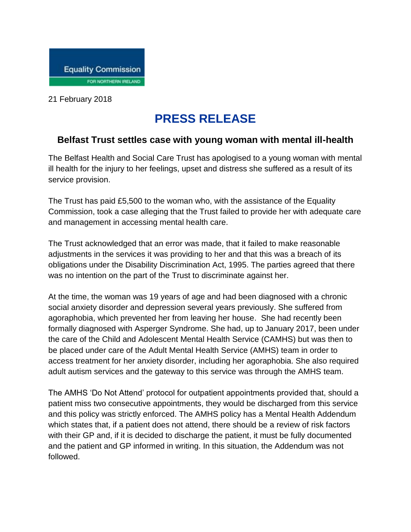

21 February 2018

## **PRESS RELEASE**

## **Belfast Trust settles case with young woman with mental ill-health**

The Belfast Health and Social Care Trust has apologised to a young woman with mental ill health for the injury to her feelings, upset and distress she suffered as a result of its service provision.

The Trust has paid £5,500 to the woman who, with the assistance of the Equality Commission, took a case alleging that the Trust failed to provide her with adequate care and management in accessing mental health care.

The Trust acknowledged that an error was made, that it failed to make reasonable adjustments in the services it was providing to her and that this was a breach of its obligations under the Disability Discrimination Act, 1995. The parties agreed that there was no intention on the part of the Trust to discriminate against her.

At the time, the woman was 19 years of age and had been diagnosed with a chronic social anxiety disorder and depression several years previously. She suffered from agoraphobia, which prevented her from leaving her house. She had recently been formally diagnosed with Asperger Syndrome. She had, up to January 2017, been under the care of the Child and Adolescent Mental Health Service (CAMHS) but was then to be placed under care of the Adult Mental Health Service (AMHS) team in order to access treatment for her anxiety disorder, including her agoraphobia. She also required adult autism services and the gateway to this service was through the AMHS team.

The AMHS 'Do Not Attend' protocol for outpatient appointments provided that, should a patient miss two consecutive appointments, they would be discharged from this service and this policy was strictly enforced. The AMHS policy has a Mental Health Addendum which states that, if a patient does not attend, there should be a review of risk factors with their GP and, if it is decided to discharge the patient, it must be fully documented and the patient and GP informed in writing. In this situation, the Addendum was not followed.